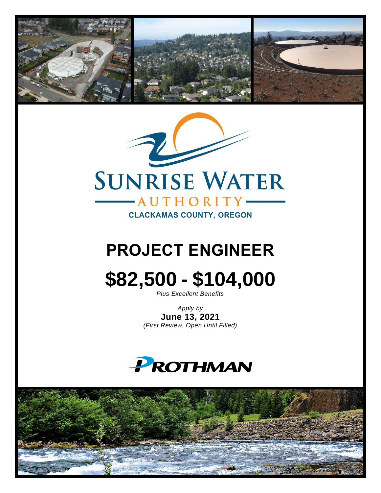



# **PROJECT ENGINEER**

# **\$82,500 - \$104,000**

*Plus Excellent Benefits*

*Apply by* **June 13, 2021** *(First Review, Open Until Filled)*



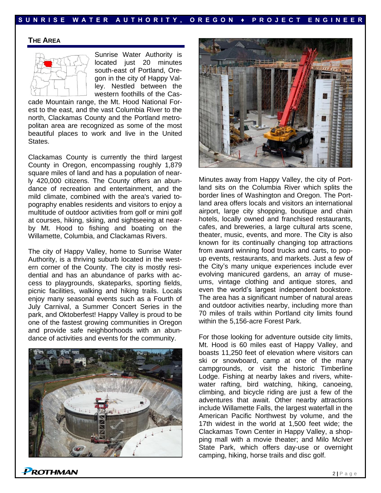#### **S U N R I S E W A T E R A U T H O R I T Y , O R E G O N ♦ P R O J E C T E N G I N E E R**

#### **THE AREA**



Sunrise Water Authority is located just 20 minutes south-east of Portland, Oregon in the city of Happy Valley. Nestled between the western foothills of the Cas-

cade Mountain range, the Mt. Hood National Forest to the east, and the vast Columbia River to the north, Clackamas County and the Portland metropolitan area are recognized as some of the most beautiful places to work and live in the United States.

Clackamas County is currently the third largest County in Oregon, encompassing roughly 1,879 square miles of land and has a population of nearly 420,000 citizens. The County offers an abundance of recreation and entertainment, and the mild climate, combined with the area's varied topography enables residents and visitors to enjoy a multitude of outdoor activities from golf or mini golf at courses, hiking, skiing, and sightseeing at nearby Mt. Hood to fishing and boating on the Willamette, Columbia, and Clackamas Rivers.

The city of Happy Valley, home to Sunrise Water Authority, is a thriving suburb located in the western corner of the County. The city is mostly residential and has an abundance of parks with access to playgrounds, skateparks, sporting fields, picnic facilities, walking and hiking trails. Locals enjoy many seasonal events such as a Fourth of July Carnival, a Summer Concert Series in the park, and Oktoberfest! Happy Valley is proud to be one of the fastest growing communities in Oregon and provide safe neighborhoods with an abundance of activities and events for the community.





Minutes away from Happy Valley, the city of Portland sits on the Columbia River which splits the border lines of Washington and Oregon. The Portland area offers locals and visitors an international airport, large city shopping, boutique and chain hotels, locally owned and franchised restaurants, cafes, and breweries, a large cultural arts scene, theater, music, events, and more. The City is also known for its continually changing top attractions from award winning food trucks and carts, to popup events, restaurants, and markets. Just a few of the City's many unique experiences include ever evolving manicured gardens, an array of museums, vintage clothing and antique stores, and even the world's largest independent bookstore. The area has a significant number of natural areas and outdoor activities nearby, including more than 70 miles of trails within Portland city limits found within the 5,156-acre Forest Park.

For those looking for adventure outside city limits, Mt. Hood is 60 miles east of Happy Valley, and boasts 11,250 feet of elevation where visitors can ski or snowboard, camp at one of the many campgrounds, or visit the historic Timberline Lodge. Fishing at nearby lakes and rivers, whitewater rafting, bird watching, hiking, canoeing, climbing, and bicycle riding are just a few of the adventures that await. Other nearby attractions include Willamette Falls, the largest waterfall in the American Pacific Northwest by volume, and the 17th widest in the world at 1,500 feet wide; the Clackamas Town Center in Happy Valley, a shopping mall with a movie theater; and Milo McIver State Park, which offers day-use or overnight camping, hiking, horse trails and disc golf.

PROTHMAN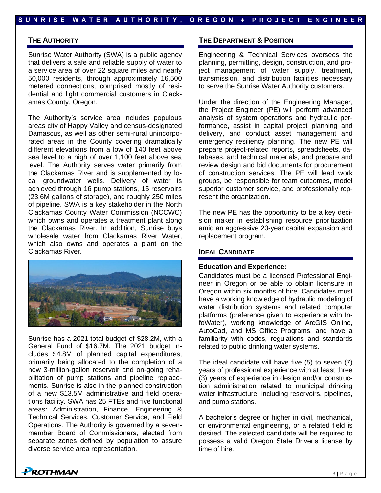#### **THE AUTHORITY**

Sunrise Water Authority (SWA) is a public agency that delivers a safe and reliable supply of water to a service area of over 22 square miles and nearly 50,000 residents, through approximately 16,500 metered connections, comprised mostly of residential and light commercial customers in Clackamas County, Oregon.

The Authority's service area includes populous areas city of Happy Valley and census-designated Damascus, as well as other semi-rural unincorporated areas in the County covering dramatically different elevations from a low of 140 feet above sea level to a high of over 1,100 feet above sea level. The Authority serves water primarily from the Clackamas River and is supplemented by local groundwater wells. Delivery of water is achieved through 16 pump stations, 15 reservoirs (23.6M gallons of storage), and roughly 250 miles of pipeline. SWA is a key stakeholder in the North Clackamas County Water Commission (NCCWC) which owns and operates a treatment plant along the Clackamas River. In addition, Sunrise buys wholesale water from Clackamas River Water, which also owns and operates a plant on the Clackamas River.



Sunrise has a 2021 total budget of \$28.2M, with a General Fund of \$16.7M. The 2021 budget includes \$4.8M of planned capital expenditures, primarily being allocated to the completion of a new 3-million-gallon reservoir and on-going rehabilitation of pump stations and pipeline replacements. Sunrise is also in the planned construction of a new \$13.5M administrative and field operations facility. SWA has 25 FTEs and five functional areas: Administration, Finance, Engineering & Technical Services, Customer Service, and Field Operations. The Authority is governed by a sevenmember Board of Commissioners, elected from separate zones defined by population to assure diverse service area representation.

#### **THE DEPARTMENT & POSITION**

Engineering & Technical Services oversees the planning, permitting, design, construction, and project management of water supply, treatment, transmission, and distribution facilities necessary to serve the Sunrise Water Authority customers.

Under the direction of the Engineering Manager, the Project Engineer (PE) will perform advanced analysis of system operations and hydraulic performance, assist in capital project planning and delivery, and conduct asset management and emergency resiliency planning. The new PE will prepare project-related reports, spreadsheets, databases, and technical materials, and prepare and review design and bid documents for procurement of construction services. The PE will lead work groups, be responsible for team outcomes, model superior customer service, and professionally represent the organization.

The new PE has the opportunity to be a key decision maker in establishing resource prioritization amid an aggressive 20-year capital expansion and replacement program.

#### **IDEAL CANDIDATE**

#### **Education and Experience:**

Candidates must be a licensed Professional Engineer in Oregon or be able to obtain licensure in Oregon within six months of hire. Candidates must have a working knowledge of hydraulic modeling of water distribution systems and related computer platforms (preference given to experience with InfoWater), working knowledge of ArcGIS Online, AutoCad, and MS Office Programs, and have a familiarity with codes, regulations and standards related to public drinking water systems.

The ideal candidate will have five (5) to seven (7) years of professional experience with at least three (3) years of experience in design and/or construction administration related to municipal drinking water infrastructure, including reservoirs, pipelines, and pump stations.

A bachelor's degree or higher in civil, mechanical, or environmental engineering, or a related field is desired. The selected candidate will be required to possess a valid Oregon State Driver's license by time of hire.